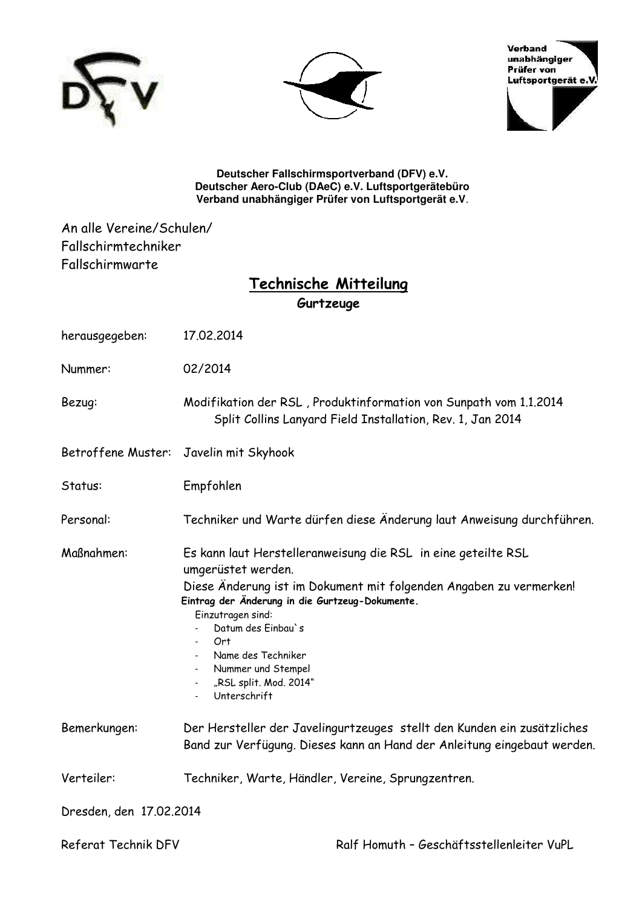





**Deutscher Fallschirmsportverband (DFV) e.V. Deutscher Aero-Club (DAeC) e.V. Luftsportgerätebüro Verband unabhängiger Prüfer von Luftsportgerät e.V**.

An alle Vereine/Schulen/ Fallschirmtechniker Fallschirmwarte

## **Technische Mitteilung Gurtzeuge**

| herausgegeben:                         | 17.02.2014                                                                                                                                                                                                                                                                                                                                                              |
|----------------------------------------|-------------------------------------------------------------------------------------------------------------------------------------------------------------------------------------------------------------------------------------------------------------------------------------------------------------------------------------------------------------------------|
| Nummer:                                | 02/2014                                                                                                                                                                                                                                                                                                                                                                 |
| Bezug:                                 | Modifikation der RSL, Produktinformation von Sunpath vom 1.1.2014<br>Split Collins Lanyard Field Installation, Rev. 1, Jan 2014                                                                                                                                                                                                                                         |
| Betroffene Muster: Javelin mit Skyhook |                                                                                                                                                                                                                                                                                                                                                                         |
| Status:                                | Empfohlen                                                                                                                                                                                                                                                                                                                                                               |
| Personal:                              | Techniker und Warte dürfen diese Änderung laut Anweisung durchführen.                                                                                                                                                                                                                                                                                                   |
| Maßnahmen:                             | Es kann laut Herstelleranweisung die RSL in eine geteilte RSL<br>umgerüstet werden.<br>Diese Änderung ist im Dokument mit folgenden Angaben zu vermerken!<br>Eintrag der Änderung in die Gurtzeug-Dokumente.<br>Einzutragen sind:<br>Datum des Einbau's<br>Ort<br>Name des Techniker<br>Nummer und Stempel<br>"RSL split. Mod. 2014"<br>$\sim$ 10 $\pm$<br>Unterschrift |
| Bemerkungen:                           | Der Hersteller der Javelingurtzeuges stellt den Kunden ein zusätzliches<br>Band zur Verfügung. Dieses kann an Hand der Anleitung eingebaut werden.                                                                                                                                                                                                                      |
| Verteiler:                             | Techniker, Warte, Händler, Vereine, Sprungzentren.                                                                                                                                                                                                                                                                                                                      |
| Dresden, den 17.02.2014                |                                                                                                                                                                                                                                                                                                                                                                         |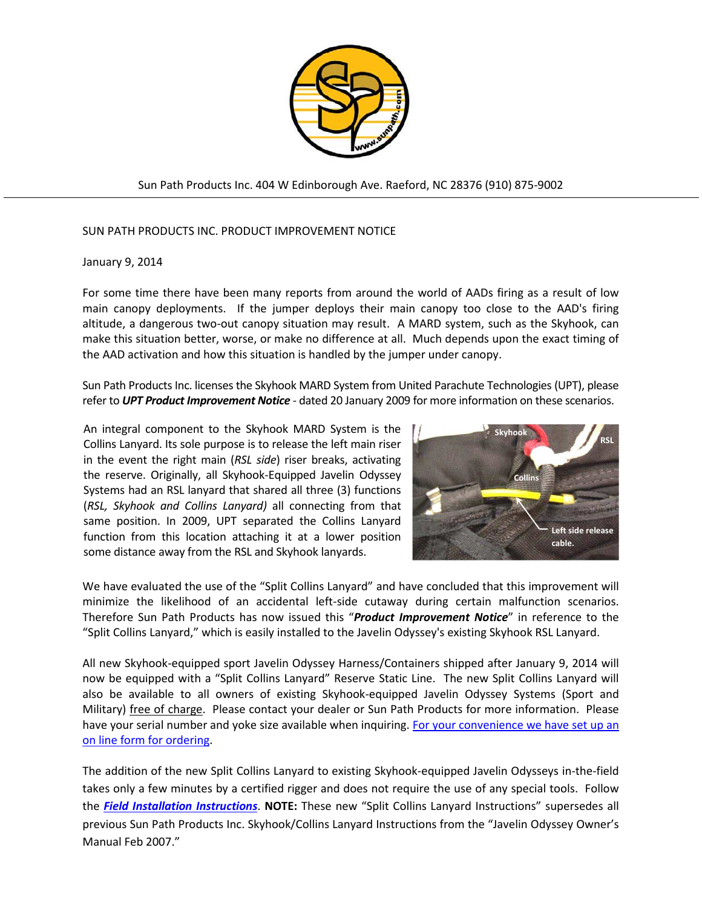

Sun Path Products Inc. 404 W Edinborough Ave. Raeford, NC 28376 (910) 875-9002

#### SUN PATH PRODUCTS INC. PRODUCT IMPROVEMENT NOTICE

#### January 9, 2014

j

For some time there have been many reports from around the world of AADs firing as a result of low main canopy deployments. If the jumper deploys their main canopy too close to the AAD's firing altitude, a dangerous two-out canopy situation may result. A MARD system, such as the Skyhook, can make this situation better, worse, or make no difference at all. Much depends upon the exact timing of the AAD activation and how this situation is handled by the jumper under canopy.

Sun Path Products Inc. licenses the Skyhook MARD System from United Parachute Technologies (UPT), please refer to *UPT Product Improvement Notice* - dated 20 January 2009 for more information on these scenarios.

An integral component to the Skyhook MARD System is the Collins Lanyard. Its sole purpose is to release the left main riser in the event the right main (*RSL side*) riser breaks, activating the reserve. Originally, all Skyhook-Equipped Javelin Odyssey Systems had an RSL lanyard that shared all three (3) functions (*RSL, Skyhook and Collins Lanyard)* all connecting from that same position. In 2009, UPT separated the Collins Lanyard function from this location attaching it at a lower position some distance away from the RSL and Skyhook lanyards.



We have evaluated the use of the "Split Collins Lanyard" and have concluded that this improvement will minimize the likelihood of an accidental left-side cutaway during certain malfunction scenarios. Therefore Sun Path Products has now issued this "*Product Improvement Notice*" in reference to the "Split Collins Lanyard," which is easily installed to the Javelin Odyssey's existing Skyhook RSL Lanyard.

All new Skyhook-equipped sport Javelin Odyssey Harness/Containers shipped after January 9, 2014 will now be equipped with a "Split Collins Lanyard" Reserve Static Line. The new Split Collins Lanyard will also be available to all owners of existing Skyhook-equipped Javelin Odyssey Systems (Sport and Military) free of charge. Please contact your dealer or Sun Path Products for more information. Please have your serial number and yoke size available when inquiring. For your convenience we have set up an [on line form for ordering.](https://adobeformscentral.com/?f=-DbUqj92bKqCKepku-YZgg)

The addition of the new Split Collins Lanyard to existing Skyhook-equipped Javelin Odysseys in-the-field takes only a few minutes by a certified rigger and does not require the use of any special tools. Follow the *[Field Installation Instructions](http://sunpath.com/products/scl.pdf)*. **NOTE:** These new "Split Collins Lanyard Instructions" supersedes all previous Sun Path Products Inc. Skyhook/Collins Lanyard Instructions from the "Javelin Odyssey Owner's Manual Feb 2007."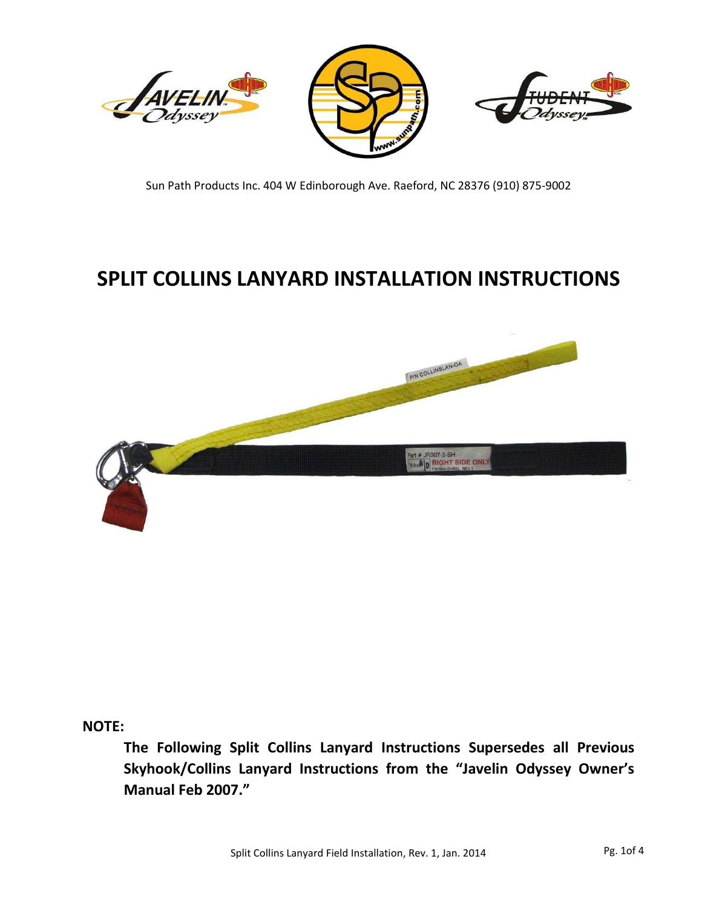

Sun Path Products Inc. 404 W Edinborough Ave. Raeford, NC 28376 (910) 875-9002

# **SPLIT COLLINS LANYARD INSTALLATION INSTRUCTIONS**



**NOTE:** 

The Following Split Collins Lanyard Instructions Supersedes all Previous Skyhook/Collins Lanyard Instructions from the "Javelin Odyssey Owner's Manual Feb 2007."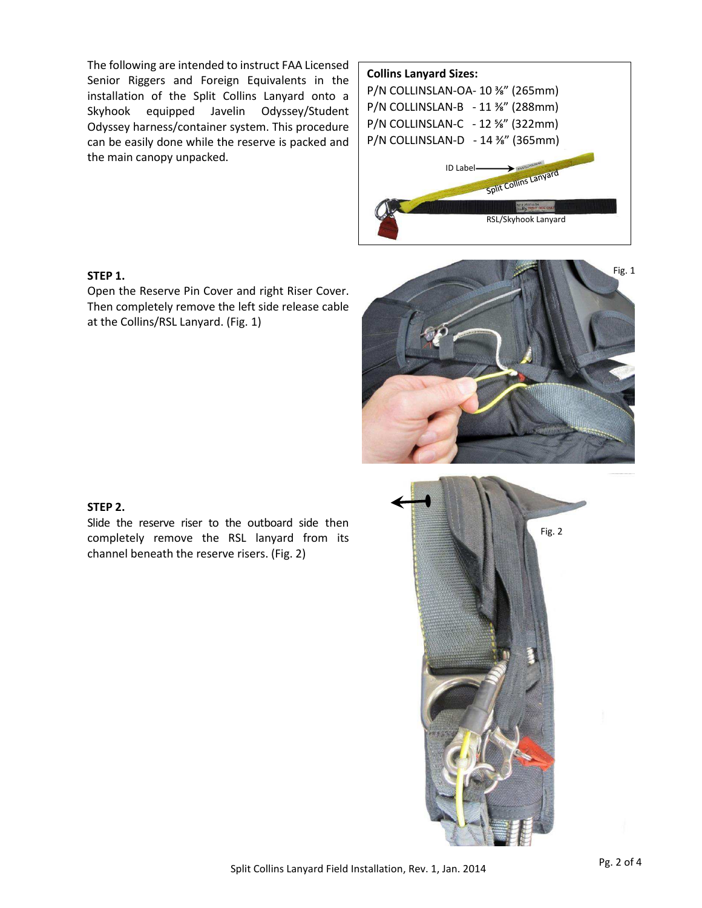The following are intended to instruct FAA Licensed Senior Riggers and Foreign Equivalents in the installation of the Split Collins Lanyard onto a Skyhook equipped Javelin Odyssey/Student Odyssey harness/container system. This procedure can be easily done while the reserve is packed and the main canopy unpacked.



#### **STEP 1.**

Open the Reserve Pin Cover and right Riser Cover. Then completely remove the left side release cable at the Collins/RSL Lanyard. (Fig. 1)



#### **STEP 2.**

Slide the reserve riser to the outboard side then completely remove the RSL lanyard from its channel beneath the reserve risers. (Fig. 2)

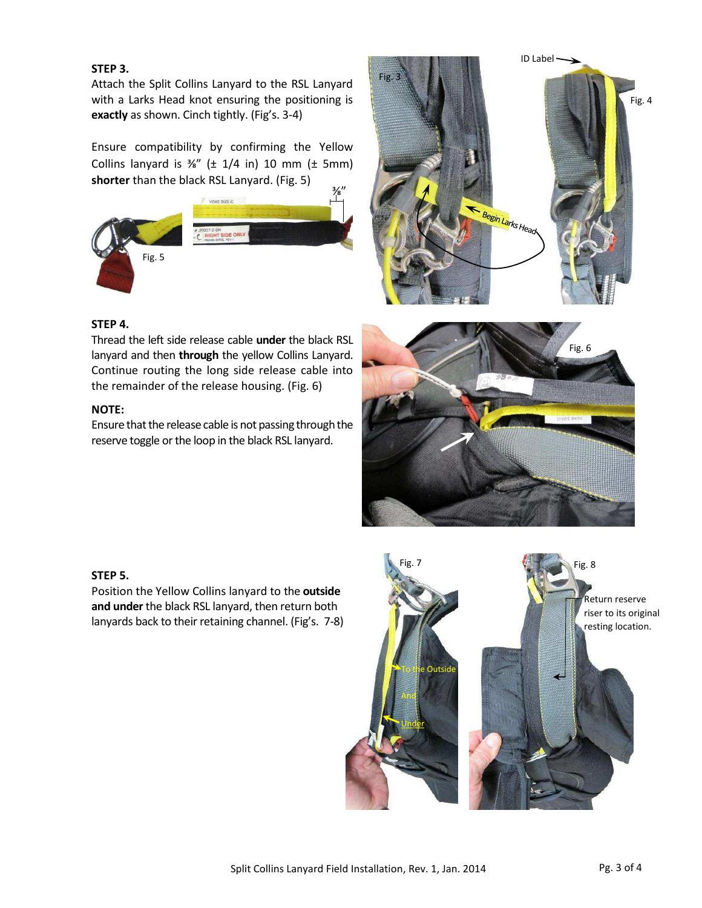#### **STEP 3.**

Attach the Split Collins Lanyard to the RSL Lanyard with a Larks Head knot ensuring the positioning is **exactly** as shown. Cinch tightly. (Fig's. 3-4)

Ensure compatibility by confirming the Yellow Collins lanyard is  $\frac{3}{8}$ " ( $\pm$  1/4 in) 10 mm ( $\pm$  5mm) **shorter** than the black RSL Lanyard. (Fig. 5)







#### **STEP 4.**

Thread the left side release cable **under** the black RSL lanyard and then **through** the yellow Collins Lanyard. Continue routing the long side release cable into the remainder of the release housing. (Fig. 6)

#### **NOTE:**

Ensure that the release cable is not passing through the reserve toggle or the loop in the black RSL lanyard.



#### **STEP 5.**

Position the Yellow Collins lanyard to the **outside and under** the black RSL lanyard, then return both lanyards back to their retaining channel. (Fig's. 7-8)